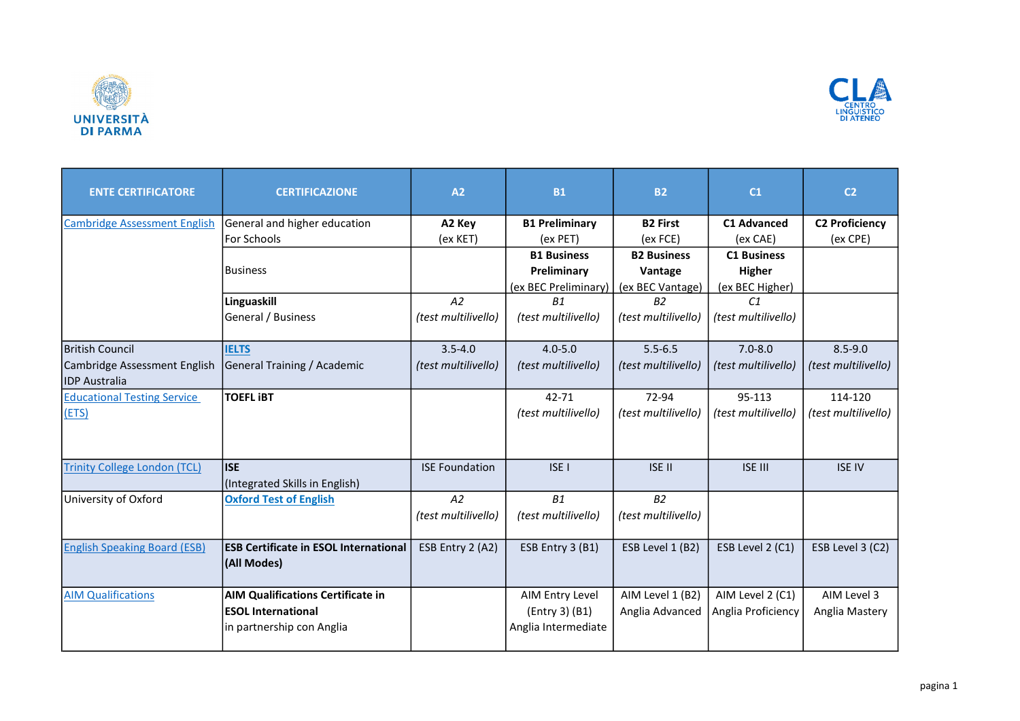



| <b>ENTE CERTIFICATORE</b>           | <b>CERTIFICAZIONE</b>                                       | A2                    | <b>B1</b>                             | <b>B2</b>           | C <sub>1</sub>      | C <sub>2</sub>        |
|-------------------------------------|-------------------------------------------------------------|-----------------------|---------------------------------------|---------------------|---------------------|-----------------------|
| <b>Cambridge Assessment English</b> | General and higher education                                | A2 Key                | <b>B1 Preliminary</b>                 | <b>B2 First</b>     | <b>C1 Advanced</b>  | <b>C2 Proficiency</b> |
|                                     | For Schools                                                 | (ex KET)              | (ex PET)                              | (ex FCE)            | (ex CAE)            | (ex CPE)              |
|                                     |                                                             |                       | <b>B1 Business</b>                    | <b>B2 Business</b>  | <b>C1 Business</b>  |                       |
|                                     | <b>Business</b>                                             |                       | Preliminary                           | Vantage             | <b>Higher</b>       |                       |
|                                     |                                                             |                       | (ex BEC Preliminary)                  | (ex BEC Vantage)    | (ex BEC Higher)     |                       |
|                                     | Linguaskill                                                 | A2                    | B1                                    | B <sub>2</sub>      | C1                  |                       |
|                                     | General / Business                                          | (test multilivello)   | (test multilivello)                   | (test multilivello) | (test multilivello) |                       |
| <b>British Council</b>              | <b>IELTS</b>                                                | $3.5 - 4.0$           | $4.0 - 5.0$                           | $5.5 - 6.5$         | $7.0 - 8.0$         | $8.5 - 9.0$           |
| Cambridge Assessment English        | General Training / Academic                                 | (test multilivello)   | (test multilivello)                   | (test multilivello) | (test multilivello) | (test multilivello)   |
| <b>IDP</b> Australia                |                                                             |                       |                                       |                     |                     |                       |
| <b>Educational Testing Service</b>  | <b>TOEFL IBT</b>                                            |                       | $42 - 71$                             | 72-94               | 95-113              | 114-120               |
| (ETS)                               |                                                             |                       | (test multilivello)                   | (test multilivello) | (test multilivello) | (test multilivello)   |
| <b>Trinity College London (TCL)</b> | lise<br>(Integrated Skills in English)                      | <b>ISE Foundation</b> | ISE <sub>I</sub>                      | <b>ISE II</b>       | <b>ISE III</b>      | <b>ISE IV</b>         |
| University of Oxford                | <b>Oxford Test of English</b>                               | A2                    | <b>B1</b>                             | B2                  |                     |                       |
|                                     |                                                             | (test multilivello)   | (test multilivello)                   | (test multilivello) |                     |                       |
| <b>English Speaking Board (ESB)</b> | <b>ESB Certificate in ESOL International</b><br>(All Modes) | ESB Entry 2 (A2)      | ESB Entry 3 (B1)                      | ESB Level 1 (B2)    | ESB Level 2 (C1)    | ESB Level 3 (C2)      |
| <b>AIM Qualifications</b>           | <b>AIM Qualifications Certificate in</b>                    |                       | AIM Entry Level                       | AIM Level 1 (B2)    | AIM Level 2 (C1)    | AIM Level 3           |
|                                     | <b>IESOL International</b><br>in partnership con Anglia     |                       | (Entry 3) (B1)<br>Anglia Intermediate | Anglia Advanced     | Anglia Proficiency  | Anglia Mastery        |